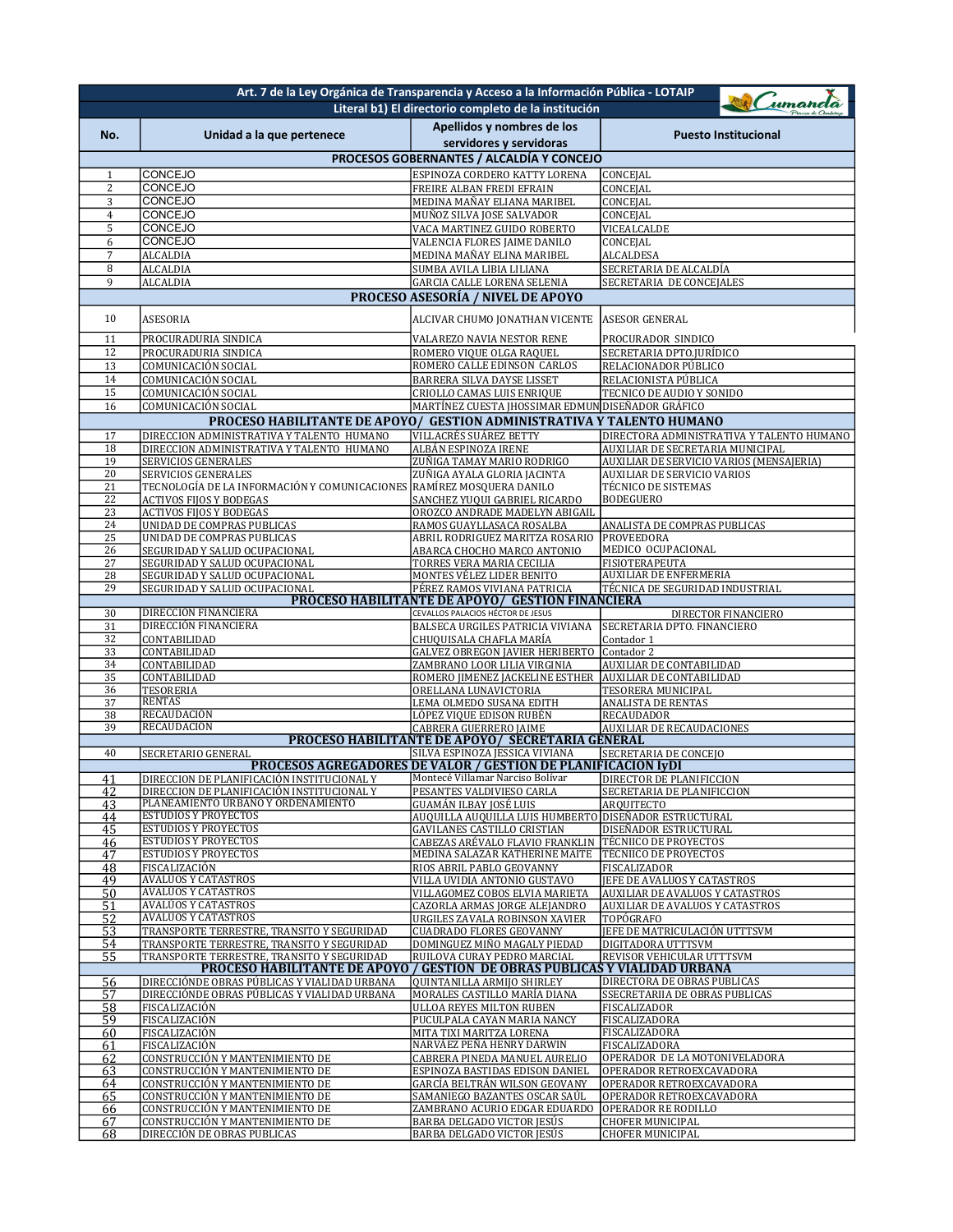| Art. 7 de la Ley Orgánica de Transparencia y Acceso a la Información Pública - LOTAIP |                                                                                                                                 |                                                                                                          |                                                                                  |  |  |
|---------------------------------------------------------------------------------------|---------------------------------------------------------------------------------------------------------------------------------|----------------------------------------------------------------------------------------------------------|----------------------------------------------------------------------------------|--|--|
|                                                                                       |                                                                                                                                 | Literal b1) El directorio completo de la institución                                                     | umanda                                                                           |  |  |
| No.                                                                                   |                                                                                                                                 | Apellidos y nombres de los                                                                               | <b>Puesto Institucional</b>                                                      |  |  |
|                                                                                       | Unidad a la que pertenece                                                                                                       | servidores y servidoras                                                                                  |                                                                                  |  |  |
|                                                                                       |                                                                                                                                 | PROCESOS GOBERNANTES / ALCALDÍA Y CONCEJO                                                                |                                                                                  |  |  |
| 1                                                                                     | CONCEJO                                                                                                                         | ESPINOZA CORDERO KATTY LORENA                                                                            | CONCEJAL                                                                         |  |  |
| $\boldsymbol{2}$                                                                      | CONCEJO                                                                                                                         | FREIRE ALBAN FREDI EFRAIN                                                                                | CONCEJAL                                                                         |  |  |
| 3                                                                                     | CONCEJO<br><b>CONCEJO</b>                                                                                                       | MEDINA MAÑAY ELIANA MARIBEL                                                                              | CONCEJAL                                                                         |  |  |
| 4<br>5                                                                                | CONCEJO                                                                                                                         | MUÑOZ SILVA JOSE SALVADOR<br>VACA MARTINEZ GUIDO ROBERTO                                                 | CONCEJAL<br>VICEALCALDE                                                          |  |  |
| 6                                                                                     | CONCEJO                                                                                                                         | VALENCIA FLORES JAIME DANILO                                                                             | CONCEJAL                                                                         |  |  |
| $\sqrt{ }$                                                                            | <b>ALCALDIA</b>                                                                                                                 | MEDINA MAÑAY ELINA MARIBEL                                                                               | <b>ALCALDESA</b>                                                                 |  |  |
| 8                                                                                     | ALCALDIA                                                                                                                        | SUMBA AVILA LIBIA LILIANA                                                                                | SECRETARIA DE ALCALDÍA                                                           |  |  |
| 9                                                                                     | <b>ALCALDIA</b>                                                                                                                 | <b>GARCIA CALLE LORENA SELENIA</b><br>PROCESO ASESORÍA / NIVEL DE APOYO                                  | SECRETARIA DE CONCEJALES                                                         |  |  |
|                                                                                       |                                                                                                                                 |                                                                                                          |                                                                                  |  |  |
| 10                                                                                    | ASESORIA                                                                                                                        | ALCIVAR CHUMO JONATHAN VICENTE                                                                           | <b>ASESOR GENERAL</b>                                                            |  |  |
| 11                                                                                    | PROCURADURIA SINDICA                                                                                                            | VALAREZO NAVIA NESTOR RENE                                                                               | PROCURADOR SINDICO                                                               |  |  |
| 12<br>13                                                                              | PROCURADURIA SINDICA                                                                                                            | ROMERO VIQUE OLGA RAQUEL<br>ROMERO CALLE EDINSON CARLOS                                                  | SECRETARIA DPTO.JURÍDICO                                                         |  |  |
| 14                                                                                    | COMUNICACIÓN SOCIAL<br>COMUNICACIÓN SOCIAL                                                                                      | BARRERA SILVA DAYSE LISSET                                                                               | RELACIONADOR PÚBLICO<br>RELACIONISTA PÚBLICA                                     |  |  |
| 15                                                                                    | COMUNICACIÓN SOCIAL                                                                                                             | CRIOLLO CAMAS LUIS ENRIQUE                                                                               | TECNICO DE AUDIO Y SONIDO                                                        |  |  |
| 16                                                                                    | COMUNICACIÓN SOCIAL                                                                                                             | MARTÍNEZ CUESTA JHOSSIMAR EDMUN DISEÑADOR GRÁFICO                                                        |                                                                                  |  |  |
|                                                                                       | <b>PROCESO HABILITANTE DE APOYO/</b>                                                                                            | <b>GESTION ADMINISTRATIVA Y TALENTO HUMANO</b>                                                           |                                                                                  |  |  |
| 17                                                                                    | DIRECCION ADMINISTRATIVA Y TALENTO HUMANO                                                                                       | VILLACRÉS SUÁREZ BETTY                                                                                   | DIRECTORA ADMINISTRATIVA Y TALENTO HUMANO                                        |  |  |
| 18<br>19                                                                              | DIRECCION ADMINISTRATIVA Y TALENTO HUMANO<br><b>SERVICIOS GENERALES</b>                                                         | ALBÁN ESPINOZA IRENE                                                                                     | AUXILIAR DE SECRETARIA MUNICIPAL                                                 |  |  |
| 20                                                                                    | SERVICIOS GENERALES                                                                                                             | ZUÑIGA TAMAY MARIO RODRIGO<br>ZUÑIGA AYALA GLORIA JACINTA                                                | AUXILIAR DE SERVICIO VARIOS (MENSAJERIA)<br>AUXILIAR DE SERVICIO VARIOS          |  |  |
| 21                                                                                    | TECNOLOGÍA DE LA INFORMACIÓN Y COMUNICACIONES RAMÍREZ MOSQUERA DANILO                                                           |                                                                                                          | <b>TÉCNICO DE SISTEMAS</b>                                                       |  |  |
| 22                                                                                    | ACTIVOS FIJOS Y BODEGAS                                                                                                         | SANCHEZ YUQUI GABRIEL RICARDO                                                                            | <b>BODEGUERO</b>                                                                 |  |  |
| 23                                                                                    | <b>ACTIVOS FIJOS Y BODEGAS</b><br><b>UNIDAD DE COMPRAS PUBLICAS</b>                                                             | OROZCO ANDRADE MADELYN ABIGAIL                                                                           |                                                                                  |  |  |
| 24<br>25                                                                              | <b>UNIDAD DE COMPRAS PUBLICAS</b>                                                                                               | RAMOS GUAYLLASACA ROSALBA<br>ABRIL RODRIGUEZ MARITZA ROSARIO                                             | ANALISTA DE COMPRAS PUBLICAS<br><b>PROVEEDORA</b>                                |  |  |
| 26                                                                                    | SEGURIDAD Y SALUD OCUPACIONAL                                                                                                   | ABARCA CHOCHO MARCO ANTONIO                                                                              | MEDICO OCUPACIONAL                                                               |  |  |
| 27                                                                                    | SEGURIDAD Y SALUD OCUPACIONAL                                                                                                   | TORRES VERA MARIA CECILIA                                                                                | FISIOTERAPEUTA                                                                   |  |  |
| 28                                                                                    | SEGURIDAD Y SALUD OCUPACIONAL                                                                                                   | MONTES VÉLEZ LIDER BENITO                                                                                | <b>AUXILIAR DE ENFERMERIA</b>                                                    |  |  |
| 29                                                                                    | SEGURIDAD Y SALUD OCUPACIONAL                                                                                                   | PÉREZ RAMOS VIVIANA PATRICIA<br>PROCESO HABILITANTE DE APOYO/ GESTION FINANCIERA                         | TÉCNICA DE SEGURIDAD INDUSTRIAL                                                  |  |  |
| 30                                                                                    | DIRECCIÓN FINANCIERA                                                                                                            | CEVALLOS PALACIOS HÉCTOR DE JESUS                                                                        | DIRECTOR FINANCIERO                                                              |  |  |
| 31                                                                                    | DIRECCIÓN FINANCIERA                                                                                                            | BALSECA URGILES PATRICIA VIVIANA                                                                         | SECRETARIA DPTO. FINANCIERO                                                      |  |  |
| 32<br>33                                                                              | CONTABILIDAD<br>CONTABILIDAD                                                                                                    | CHUQUISALA CHAFLA MARÍA<br><b>GALVEZ OBREGON JAVIER HERIBERTO</b>                                        | Contador 1<br>Contador 2                                                         |  |  |
| 34                                                                                    | CONTABILIDAD                                                                                                                    | ZAMBRANO LOOR LILIA VIRGINIA                                                                             | AUXILIAR DE CONTABILIDAD                                                         |  |  |
| 35                                                                                    | CONTABILIDAD                                                                                                                    | ROMERO JIMENEZ JACKELINE ESTHER                                                                          | AUXILIAR DE CONTABILIDAD                                                         |  |  |
| 36                                                                                    | <b>TESORERIA</b>                                                                                                                | ORELLANA LUNAVICTORIA                                                                                    | TESORERA MUNICIPAL                                                               |  |  |
| 37<br>38                                                                              | <b>RENTAS</b><br>RECAUDACIÓN                                                                                                    | LEMA OLMEDO SUSANA EDITH<br>LÓPEZ VIQUE EDISON RUBÉN                                                     | ANALISTA DE RENTAS<br>RECAUDADOR                                                 |  |  |
| 39                                                                                    | RECAUDACIÓN                                                                                                                     | <b>CABRERA GUERRERO JAIME</b>                                                                            | <b>AUXILIAR DE RECAUDACIONES</b>                                                 |  |  |
|                                                                                       |                                                                                                                                 | PROCESO HABILITANTE DE APOYO/ SECRETARIA GÉNERAL                                                         |                                                                                  |  |  |
| 40                                                                                    | SECRETARIO GENERAL                                                                                                              | SILVA ESPINOZA JESSICA VIVIANA                                                                           | SECRETARIA DE CONCEJO                                                            |  |  |
| 41                                                                                    | IDIRECCION DE PLANIFICACIÓN INSTITUCIONAL Y                                                                                     | <b>PROCESOS AGREGADORES DE VALOR / GESTION DE PLANIFICACION IYDI</b><br>Montecé Villamar Narciso Bolívar | <b>DIRECTOR DE PLANIFICCION</b>                                                  |  |  |
| 42                                                                                    | DIRECCION DE PLANIFICACIÓN INSTITUCIONAL Y                                                                                      | PESANTES VALDIVIESO CARLA                                                                                | SECRETARIA DE PLANIFICCION                                                       |  |  |
| 43                                                                                    | PLANEAMIENTO URBANO Y ORDENAMIENTO                                                                                              | GUAMÁN ILBAY JOSÉ LUIS                                                                                   | <b>ARQUITECTO</b>                                                                |  |  |
| 44                                                                                    | <b>ESTUDIOS Y PROYECTOS</b><br><b>ESTUDIOS Y PROYECTOS</b>                                                                      | AUQUILLA AUQUILLA LUIS HUMBERTO DISEÑADOR ESTRUCTURAL                                                    |                                                                                  |  |  |
| 45<br>46                                                                              | <b>ESTUDIOS Y PROYECTOS</b>                                                                                                     | <b>GAVILANES CASTILLO CRISTIAN</b><br>CABEZAS ARÉVALO FLAVIO FRANKLIN                                    | DISEÑADOR ESTRUCTURAL<br><b>TÉCNIICO DE PROYECTOS</b>                            |  |  |
| 47                                                                                    | <b>ESTUDIOS Y PROYECTOS</b>                                                                                                     | MEDINA SALAZAR KATHERINE MAITE                                                                           | <b>TÉCNIICO DE PROYECTOS</b>                                                     |  |  |
| 48                                                                                    | FISCALIZACIÓN                                                                                                                   | RIOS ABRIL PABLO GEOVANNY                                                                                | FISCALIZADOR                                                                     |  |  |
| 49                                                                                    | <b>AVALÚOS Y CATASTROS</b><br><b>AVALUOS Y CATASTROS</b>                                                                        | VILLA UVIDIA ANTONIO GUSTAVO                                                                             | JEFE DE AVALUOS Y CATASTROS                                                      |  |  |
| 50<br>51                                                                              | <b>AVALÚOS Y CATASTROS</b>                                                                                                      | VILLAGOMEZ COBOS ELVIA MARIETA<br>CAZORLA ARMAS JORGE ALEJANDRO                                          | <b>AUXILIAR DE AVALUOS Y CATASTROS</b><br><b>AUXILIAR DE AVALUOS Y CATASTROS</b> |  |  |
| 52                                                                                    | <b>AVALÚOS Y CATASTROS</b>                                                                                                      | URGILES ZAVALA ROBINSON XAVIER                                                                           | TOPÓGRAFO                                                                        |  |  |
| 53                                                                                    | TRANSPORTE TERRESTRE, TRANSITO Y SEGURIDAD                                                                                      | <b>CUADRADO FLORES GEOVANNY</b>                                                                          | JEFE DE MATRICULACIÓN UTTTSVM                                                    |  |  |
| 54                                                                                    | TRANSPORTE TERRESTRE, TRANSITO Y SEGURIDAD                                                                                      | DOMINGUEZ MIÑO MAGALY PIEDAD                                                                             | DIGITADORA UTTTSVM                                                               |  |  |
| 55                                                                                    | TRANSPORTE TERRESTRE, TRANSITO Y SEGURIDAD<br><b>PROCESO HABILITANTE DE APOYO / GESTIÓN DE OBRAS PUBLICAS Y VIALIDAD URBANA</b> | RUILOVA CURAY PEDRO MARCIAL                                                                              | REVISOR VEHICULAR UTTTSVM                                                        |  |  |
| 56                                                                                    | DIRECCIÓNDE OBRAS PÚBLICAS Y VIALIDAD URBANA                                                                                    | <b>QUINTANILLA ARMIJO SHIRLEY</b>                                                                        | DIRECTORA DE OBRAS PUBLICAS                                                      |  |  |
| $\overline{57}$                                                                       | DIRECCIÓNDE OBRAS PÚBLICAS Y VIALIDAD URBANA                                                                                    | MORALES CASTILLO MARÍA DIANA                                                                             | SSECRETARIIA DE OBRAS PUBLICAS                                                   |  |  |
| 58<br>59                                                                              | FISCALIZACIÓN                                                                                                                   | ULLOA REYES MILTON RUBEN                                                                                 | FISCALIZADOR                                                                     |  |  |
| 60                                                                                    | FISCALIZACIÓN<br>FISCALIZACIÓN                                                                                                  | PUCULPALA CAYAN MARIA NANCY<br>MITA TIXI MARITZA LORENA                                                  | FISCALIZADORA<br>FISCALIZADORA                                                   |  |  |
| 61                                                                                    | FISCALIZACIÓN                                                                                                                   | NARVÁEZ PEÑA HENRY DARWIN                                                                                | FISCALIZADORA                                                                    |  |  |
| 62                                                                                    | CONSTRUCCIÓN Y MANTENIMIENTO DE                                                                                                 | CABRERA PINEDA MANUEL AURELIO                                                                            | OPERADOR DE LA MOTONIVELADORA                                                    |  |  |
| 63                                                                                    | CONSTRUCCIÓN Y MANTENIMIENTO DE<br>CONSTRUCCIÓN Y MANTENIMIENTO DE                                                              | ESPINOZA BASTIDAS EDISON DANIEL<br>GARCÍA BELTRÁN WILSON GEOVANY                                         | OPERADOR RETROEXCAVADORA<br>OPERADOR RETROEXCAVADORA                             |  |  |
| 64<br>65                                                                              | CONSTRUCCIÓN Y MANTENIMIENTO DE                                                                                                 | SAMANIEGO BAZANTES OSCAR SAÚL                                                                            | OPERADOR RETROEXCAVADORA                                                         |  |  |
| 66                                                                                    | CONSTRUCCIÓN Y MANTENIMIENTO DE                                                                                                 | ZAMBRANO ACURIO EDGAR EDUARDO                                                                            | OPERADOR RE RODILLO                                                              |  |  |
| 67                                                                                    | CONSTRUCCIÓN Y MANTENIMIENTO DE                                                                                                 | BARBA DELGADO VICTOR JESÚS                                                                               | <b>CHOFER MUNICIPAL</b>                                                          |  |  |
| 68                                                                                    | DIRECCIÓN DE OBRAS PUBLICAS                                                                                                     | BARBA DELGADO VICTOR JESÚS                                                                               | <b>CHOFER MUNICIPAL</b>                                                          |  |  |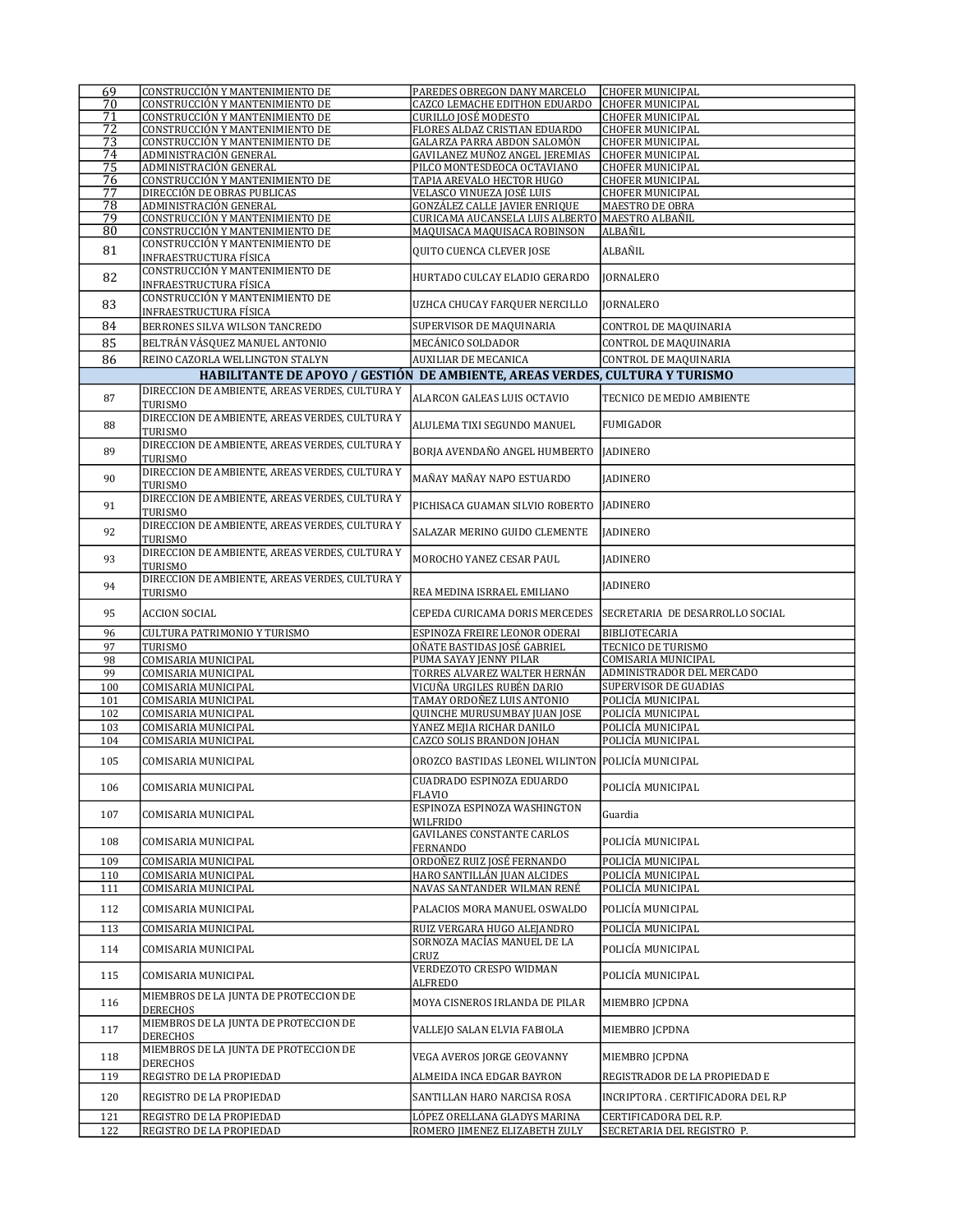| 69         | CONSTRUCCIÓN Y MANTENIMIENTO DE                                             | PAREDES OBREGON DANY MARCELO                                  | <b>CHOFER MUNICIPAL</b>                              |
|------------|-----------------------------------------------------------------------------|---------------------------------------------------------------|------------------------------------------------------|
| 70         | CONSTRUCCIÓN Y MANTENIMIENTO DE                                             | CAZCO LEMACHE EDITHON EDUARDO                                 | <b>CHOFER MUNICIPAL</b>                              |
| 71         | CONSTRUCCIÓN Y MANTENIMIENTO DE                                             | CURILLO JOSÉ MODESTO                                          | <b>CHOFER MUNICIPAL</b>                              |
| 72         | CONSTRUCCIÓN Y MANTENIMIENTO DE                                             | FLORES ALDAZ CRISTIAN EDUARDO                                 | <b>CHOFER MUNICIPAL</b>                              |
|            |                                                                             |                                                               |                                                      |
| 73         | CONSTRUCCIÓN Y MANTENIMIENTO DE                                             | GALARZA PARRA ABDON SALOMÓN                                   | CHOFER MUNICIPAL                                     |
| 74         | ADMINISTRACIÓN GENERAL                                                      | GAVILANEZ MUÑOZ ANGEL JEREMIAS                                | <b>CHOFER MUNICIPAL</b>                              |
| 75         | ADMINISTRACIÓN GENERAL                                                      | PILCO MONTESDEOCA OCTAVIANO                                   | <b>CHOFER MUNICIPAL</b>                              |
| 76         | CONSTRUCCIÓN Y MANTENIMIENTO DE                                             | TAPIA AREVALO HECTOR HUGO                                     | CHOFER MUNICIPAL                                     |
|            |                                                                             |                                                               |                                                      |
| 77         | DIRECCIÓN DE OBRAS PUBLICAS                                                 | VELASCO VINUEZA JOSÉ LUIS                                     | <b>CHOFER MUNICIPAL</b>                              |
| 78         | ADMINISTRACIÓN GENERAL                                                      | GONZÁLEZ CALLE JAVIER ENRIQUE                                 | MAESTRO DE OBRA                                      |
| 79         | CONSTRUCCIÓN Y MANTENIMIENTO DE                                             | CURICAMA AUCANSELA LUIS ALBERTO   MAESTRO ALBAÑIL             |                                                      |
|            |                                                                             |                                                               |                                                      |
| 80         | CONSTRUCCIÓN Y MANTENIMIENTO DE                                             | MAQUISACA MAQUISACA ROBINSON                                  | ALBAÑIL                                              |
|            | CONSTRUCCIÓN Y MANTENIMIENTO DE                                             |                                                               |                                                      |
| 81         | INFRAESTRUCTURA FÍSICA                                                      | <b>QUITO CUENCA CLEVER JOSE</b>                               | ALBAÑIL                                              |
|            |                                                                             |                                                               |                                                      |
| 82         | CONSTRUCCIÓN Y MANTENIMIENTO DE                                             | HURTADO CULCAY ELADIO GERARDO                                 |                                                      |
|            | INFRAESTRUCTURA FÍSICA                                                      |                                                               | <b>JORNALERO</b>                                     |
|            | CONSTRUCCIÓN Y MANTENIMIENTO DE                                             |                                                               |                                                      |
| 83         |                                                                             | UZHCA CHUCAY FARQUER NERCILLO                                 | <b>JORNALERO</b>                                     |
|            | INFRAESTRUCTURA FÍSICA                                                      |                                                               |                                                      |
| 84         | BERRONES SILVA WILSON TANCREDO                                              | SUPERVISOR DE MAQUINARIA                                      | CONTROL DE MAQUINARIA                                |
|            |                                                                             |                                                               |                                                      |
| 85         | BELTRÁN VÁSQUEZ MANUEL ANTONIO                                              | MECÁNICO SOLDADOR                                             | CONTROL DE MAQUINARIA                                |
|            |                                                                             |                                                               |                                                      |
| 86         | REINO CAZORLA WELLINGTON STALYN                                             | <b>AUXILIAR DE MECANICA</b>                                   | CONTROL DE MAQUINARIA                                |
|            | HABILITANTE DE APOYO / GESTIÓN DE AMBIENTE, AREAS VERDES, CULTURA Y TURISMO |                                                               |                                                      |
|            |                                                                             |                                                               |                                                      |
|            | DIRECCION DE AMBIENTE, AREAS VERDES, CULTURA Y                              |                                                               |                                                      |
| 87         | TURISMO                                                                     | ALARCON GALEAS LUIS OCTAVIO                                   | TECNICO DE MEDIO AMBIENTE                            |
|            |                                                                             |                                                               |                                                      |
| 88         | DIRECCION DE AMBIENTE, AREAS VERDES, CULTURA Y                              | ALULEMA TIXI SEGUNDO MANUEL                                   | <b>FUMIGADOR</b>                                     |
|            | TURISMO                                                                     |                                                               |                                                      |
|            | DIRECCION DE AMBIENTE, AREAS VERDES, CULTURA Y                              |                                                               |                                                      |
| 89         |                                                                             | BORJA AVENDAÑO ANGEL HUMBERTO                                 | <b>JADINERO</b>                                      |
|            | TURISMO                                                                     |                                                               |                                                      |
|            | DIRECCION DE AMBIENTE, AREAS VERDES, CULTURA Y                              |                                                               |                                                      |
| 90         |                                                                             | MAÑAY MAÑAY NAPO ESTUARDO                                     | <b>JADINERO</b>                                      |
|            | TURISMO                                                                     |                                                               |                                                      |
|            | DIRECCION DE AMBIENTE, AREAS VERDES, CULTURA Y                              |                                                               |                                                      |
| 91         |                                                                             | PICHISACA GUAMAN SILVIO ROBERTO   JADINERO                    |                                                      |
|            | TURISMO                                                                     |                                                               |                                                      |
|            | DIRECCION DE AMBIENTE, AREAS VERDES, CULTURA Y                              |                                                               |                                                      |
| 92         | TURISMO                                                                     | SALAZAR MERINO GUIDO CLEMENTE                                 | <b>JADINERO</b>                                      |
|            |                                                                             |                                                               |                                                      |
| 93         | DIRECCION DE AMBIENTE, AREAS VERDES, CULTURA Y                              | MOROCHO YANEZ CESAR PAUL                                      | <b>JADINERO</b>                                      |
|            | TURISMO                                                                     |                                                               |                                                      |
|            | DIRECCION DE AMBIENTE, AREAS VERDES, CULTURA Y                              |                                                               |                                                      |
| 94         |                                                                             |                                                               | <b>JADINERO</b>                                      |
|            | TURISMO                                                                     | REA MEDINA ISRRAEL EMILIANO                                   |                                                      |
|            |                                                                             |                                                               |                                                      |
| 95         | <b>ACCION SOCIAL</b>                                                        | CEPEDA CURICAMA DORIS MERCEDES                                | SECRETARIA DE DESARROLLO SOCIAL                      |
|            |                                                                             |                                                               |                                                      |
| 96         | CULTURA PATRIMONIO Y TURISMO                                                | ESPINOZA FREIRE LEONOR ODERAI                                 | BIBLIOTECARIA                                        |
| 97         | TURISMO                                                                     | OÑATE BASTIDAS JOSÉ GABRIEL                                   | TECNICO DE TURISMO                                   |
|            |                                                                             |                                                               |                                                      |
| 98         | COMISARIA MUNICIPAL                                                         | PUMA SAYAY JENNY PILAR                                        | COMISARIA MUNICIPAL                                  |
| 99         | COMISARIA MUNICIPAL                                                         | TORRES ALVAREZ WALTER HERNÁN                                  | ADMINISTRADOR DEL MERCADO                            |
| 100        | COMISARIA MUNICIPAL                                                         | VICUÑA URGILES RUBÉN DARIO                                    | <b>SUPERVISOR DE GUADIAS</b>                         |
|            |                                                                             |                                                               |                                                      |
| 101        | COMISARIA MUNICIPAL                                                         | TAMAY ORDOÑEZ LUIS ANTONIO                                    | POLICÍA MUNICIPAL                                    |
| 102        | COMISARIA MUNICIPAL                                                         | <b>QUINCHE MURUSUMBAY JUAN JOSE</b>                           | POLICÍA MUNICIPAL                                    |
| 103        | COMISARIA MUNICIPAL                                                         | YANEZ MEJIA RICHAR DANILO                                     | POLICÍA MUNICIPAL                                    |
|            |                                                                             |                                                               |                                                      |
| 104        | COMISARIA MUNICIPAL                                                         | CAZCO SOLIS BRANDON JOHAN                                     | POLICÍA MUNICIPAL                                    |
|            |                                                                             |                                                               |                                                      |
| 105        | COMISARIA MUNICIPAL                                                         | OROZCO BASTIDAS LEONEL WILINTON POLICÍA MUNICIPAL             |                                                      |
|            |                                                                             |                                                               |                                                      |
|            |                                                                             | CUADRADO ESPINOZA EDUARDO                                     |                                                      |
| 106        | COMISARIA MUNICIPAL                                                         | <b>FLAVIO</b>                                                 | POLICÍA MUNICIPAL                                    |
|            |                                                                             |                                                               |                                                      |
| 107        | COMISARIA MUNICIPAL                                                         | ESPINOZA ESPINOZA WASHINGTON                                  | Guardia                                              |
|            |                                                                             | WILFRIDO                                                      |                                                      |
|            |                                                                             | <b>GAVILANES CONSTANTE CARLOS</b>                             |                                                      |
| 108        | COMISARIA MUNICIPAL                                                         | <b>FERNANDO</b>                                               | POLICÍA MUNICIPAL                                    |
|            |                                                                             |                                                               |                                                      |
| 109        | COMISARIA MUNICIPAL                                                         | ORDOÑEZ RUIZ JOSÉ FERNANDO                                    | POLICÍA MUNICIPAL                                    |
| 110        | COMISARIA MUNICIPAL                                                         | HARO SANTILLÁN JUAN ALCIDES                                   | POLICÍA MUNICIPAL                                    |
|            |                                                                             |                                                               |                                                      |
| 111        | COMISARIA MUNICIPAL                                                         | NAVAS SANTANDER WILMAN RENÉ                                   | POLICÍA MUNICIPAL                                    |
| 112        | COMISARIA MUNICIPAL                                                         | PALACIOS MORA MANUEL OSWALDO                                  | POLICÍA MUNICIPAL                                    |
|            |                                                                             |                                                               |                                                      |
|            |                                                                             |                                                               |                                                      |
| 113        | COMISARIA MUNICIPAL                                                         | RUIZ VERGARA HUGO ALEJANDRO                                   | POLICÍA MUNICIPAL                                    |
|            |                                                                             | SORNOZA MACÍAS MANUEL DE LA                                   |                                                      |
| 114        | COMISARIA MUNICIPAL                                                         | CRUZ                                                          | POLICÍA MUNICIPAL                                    |
|            |                                                                             |                                                               |                                                      |
| 115        | COMISARIA MUNICIPAL                                                         | VERDEZOTO CRESPO WIDMAN                                       | POLICÍA MUNICIPAL                                    |
|            |                                                                             | ALFREDO                                                       |                                                      |
|            | MIEMBROS DE LA JUNTA DE PROTECCION DE                                       |                                                               |                                                      |
| 116        |                                                                             | MOYA CISNEROS IRLANDA DE PILAR                                | MIEMBRO JCPDNA                                       |
|            | <b>DERECHOS</b>                                                             |                                                               |                                                      |
|            | MIEMBROS DE LA JUNTA DE PROTECCION DE                                       |                                                               |                                                      |
| 117        | DERECHOS                                                                    | VALLEJO SALAN ELVIA FABIOLA                                   | MIEMBRO JCPDNA                                       |
|            |                                                                             |                                                               |                                                      |
|            | MIEMBROS DE LA JUNTA DE PROTECCION DE                                       | VEGA AVEROS JORGE GEOVANNY                                    | MIEMBRO JCPDNA                                       |
| 118        | DERECHOS                                                                    |                                                               |                                                      |
| 119        | REGISTRO DE LA PROPIEDAD                                                    | ALMEIDA INCA EDGAR BAYRON                                     | REGISTRADOR DE LA PROPIEDAD E                        |
|            |                                                                             |                                                               |                                                      |
| 120        |                                                                             |                                                               |                                                      |
|            | REGISTRO DE LA PROPIEDAD                                                    | SANTILLAN HARO NARCISA ROSA                                   | INCRIPTORA . CERTIFICADORA DEL R.P                   |
|            |                                                                             |                                                               |                                                      |
|            |                                                                             |                                                               |                                                      |
| 121<br>122 | REGISTRO DE LA PROPIEDAD<br>REGISTRO DE LA PROPIEDAD                        | LÓPEZ ORELLANA GLADYS MARINA<br>ROMERO JIMENEZ ELIZABETH ZULY | CERTIFICADORA DEL R.P.<br>SECRETARIA DEL REGISTRO P. |